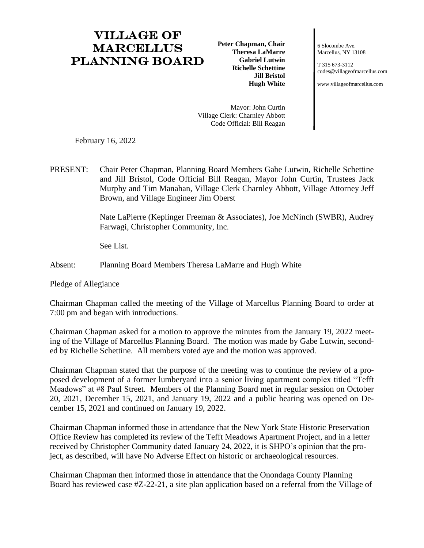## Village of **MARCELLUS** Planning Board

**Peter Chapman, Chair Theresa LaMarre Gabriel Lutwin Richelle Schettine Jill Bristol Hugh White**

6 Slocombe Ave. Marcellus, NY 13108

T 315 673-3112 [codes@villageofmarcellus.com](mailto:codes@villageofmarcellus.com)

[www.villageofmarcellus.com](http://www.villageofmarcellus.com/)

Mayor: John Curtin Village Clerk: Charnley Abbott Code Official: Bill Reagan

February 16, 2022

PRESENT: Chair Peter Chapman, Planning Board Members Gabe Lutwin, Richelle Schettine and Jill Bristol, Code Official Bill Reagan, Mayor John Curtin, Trustees Jack Murphy and Tim Manahan, Village Clerk Charnley Abbott, Village Attorney Jeff Brown, and Village Engineer Jim Oberst

> Nate LaPierre (Keplinger Freeman & Associates), Joe McNinch (SWBR), Audrey Farwagi, Christopher Community, Inc.

See List.

Absent: Planning Board Members Theresa LaMarre and Hugh White

Pledge of Allegiance

Chairman Chapman called the meeting of the Village of Marcellus Planning Board to order at 7:00 pm and began with introductions.

Chairman Chapman asked for a motion to approve the minutes from the January 19, 2022 meeting of the Village of Marcellus Planning Board. The motion was made by Gabe Lutwin, seconded by Richelle Schettine. All members voted aye and the motion was approved.

Chairman Chapman stated that the purpose of the meeting was to continue the review of a proposed development of a former lumberyard into a senior living apartment complex titled "Tefft Meadows" at #8 Paul Street. Members of the Planning Board met in regular session on October 20, 2021, December 15, 2021, and January 19, 2022 and a public hearing was opened on December 15, 2021 and continued on January 19, 2022.

Chairman Chapman informed those in attendance that the New York State Historic Preservation Office Review has completed its review of the Tefft Meadows Apartment Project, and in a letter received by Christopher Community dated January 24, 2022, it is SHPO's opinion that the project, as described, will have No Adverse Effect on historic or archaeological resources.

Chairman Chapman then informed those in attendance that the Onondaga County Planning Board has reviewed case #Z-22-21, a site plan application based on a referral from the Village of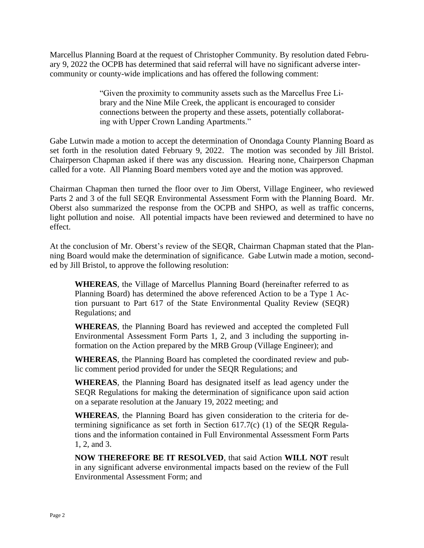Marcellus Planning Board at the request of Christopher Community. By resolution dated February 9, 2022 the OCPB has determined that said referral will have no significant adverse intercommunity or county-wide implications and has offered the following comment:

> "Given the proximity to community assets such as the Marcellus Free Library and the Nine Mile Creek, the applicant is encouraged to consider connections between the property and these assets, potentially collaborating with Upper Crown Landing Apartments."

Gabe Lutwin made a motion to accept the determination of Onondaga County Planning Board as set forth in the resolution dated February 9, 2022. The motion was seconded by Jill Bristol. Chairperson Chapman asked if there was any discussion. Hearing none, Chairperson Chapman called for a vote. All Planning Board members voted aye and the motion was approved.

Chairman Chapman then turned the floor over to Jim Oberst, Village Engineer, who reviewed Parts 2 and 3 of the full SEQR Environmental Assessment Form with the Planning Board. Mr. Oberst also summarized the response from the OCPB and SHPO, as well as traffic concerns, light pollution and noise. All potential impacts have been reviewed and determined to have no effect.

At the conclusion of Mr. Oberst's review of the SEQR, Chairman Chapman stated that the Planning Board would make the determination of significance. Gabe Lutwin made a motion, seconded by Jill Bristol, to approve the following resolution:

**WHEREAS**, the Village of Marcellus Planning Board (hereinafter referred to as Planning Board) has determined the above referenced Action to be a Type 1 Action pursuant to Part 617 of the State Environmental Quality Review (SEQR) Regulations; and

**WHEREAS**, the Planning Board has reviewed and accepted the completed Full Environmental Assessment Form Parts 1, 2, and 3 including the supporting information on the Action prepared by the MRB Group (Village Engineer); and

**WHEREAS**, the Planning Board has completed the coordinated review and public comment period provided for under the SEQR Regulations; and

**WHEREAS**, the Planning Board has designated itself as lead agency under the SEQR Regulations for making the determination of significance upon said action on a separate resolution at the January 19, 2022 meeting; and

**WHEREAS**, the Planning Board has given consideration to the criteria for determining significance as set forth in Section 617.7(c) (1) of the SEQR Regulations and the information contained in Full Environmental Assessment Form Parts 1, 2, and 3.

**NOW THEREFORE BE IT RESOLVED**, that said Action **WILL NOT** result in any significant adverse environmental impacts based on the review of the Full Environmental Assessment Form; and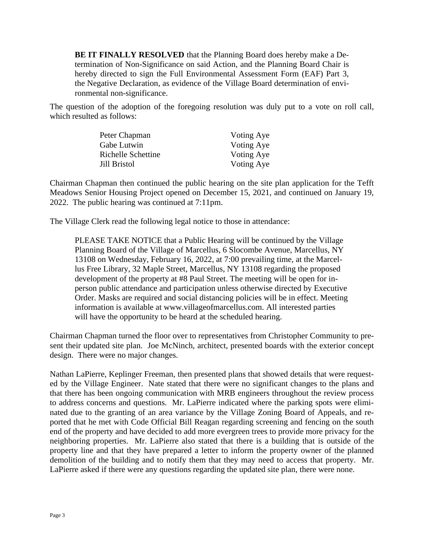**BE IT FINALLY RESOLVED** that the Planning Board does hereby make a Determination of Non-Significance on said Action, and the Planning Board Chair is hereby directed to sign the Full Environmental Assessment Form (EAF) Part 3, the Negative Declaration, as evidence of the Village Board determination of environmental non-significance.

The question of the adoption of the foregoing resolution was duly put to a vote on roll call, which resulted as follows:

| Peter Chapman      | Voting Aye |
|--------------------|------------|
| Gabe Lutwin        | Voting Aye |
| Richelle Schettine | Voting Aye |
| Jill Bristol       | Voting Aye |

Chairman Chapman then continued the public hearing on the site plan application for the Tefft Meadows Senior Housing Project opened on December 15, 2021, and continued on January 19, 2022. The public hearing was continued at 7:11pm.

The Village Clerk read the following legal notice to those in attendance:

PLEASE TAKE NOTICE that a Public Hearing will be continued by the Village Planning Board of the Village of Marcellus, 6 Slocombe Avenue, Marcellus, NY 13108 on Wednesday, February 16, 2022, at 7:00 prevailing time, at the Marcellus Free Library, 32 Maple Street, Marcellus, NY 13108 regarding the proposed development of the property at #8 Paul Street. The meeting will be open for inperson public attendance and participation unless otherwise directed by Executive Order. Masks are required and social distancing policies will be in effect. Meeting information is available at www.villageofmarcellus.com. All interested parties will have the opportunity to be heard at the scheduled hearing.

Chairman Chapman turned the floor over to representatives from Christopher Community to present their updated site plan. Joe McNinch, architect, presented boards with the exterior concept design. There were no major changes.

Nathan LaPierre, Keplinger Freeman, then presented plans that showed details that were requested by the Village Engineer. Nate stated that there were no significant changes to the plans and that there has been ongoing communication with MRB engineers throughout the review process to address concerns and questions. Mr. LaPierre indicated where the parking spots were eliminated due to the granting of an area variance by the Village Zoning Board of Appeals, and reported that he met with Code Official Bill Reagan regarding screening and fencing on the south end of the property and have decided to add more evergreen trees to provide more privacy for the neighboring properties. Mr. LaPierre also stated that there is a building that is outside of the property line and that they have prepared a letter to inform the property owner of the planned demolition of the building and to notify them that they may need to access that property. Mr. LaPierre asked if there were any questions regarding the updated site plan, there were none.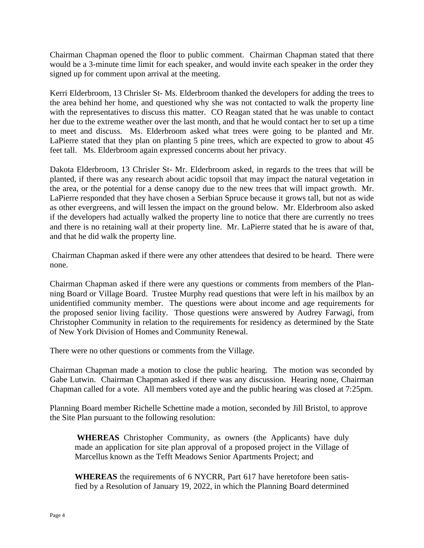Chairman Chapman opened the floor to public comment. Chairman Chapman stated that there would be a 3-minute time limit for each speaker, and would invite each speaker in the order they signed up for comment upon arrival at the meeting.

Kerri Elderbroom, 13 Chrisler St- Ms. Elderbroom thanked the developers for adding the trees to the area behind her home, and questioned why she was not contacted to walk the property line with the representatives to discuss this matter. CO Reagan stated that he was unable to contact her due to the extreme weather over the last month, and that he would contact her to set up a time to meet and discuss. Ms. Elderbroom asked what trees were going to be planted and Mr. LaPierre stated that they plan on planting 5 pine trees, which are expected to grow to about 45 feet tall. Ms. Elderbroom again expressed concerns about her privacy.

Dakota Elderbroom, 13 Chrisler St- Mr. Elderbroom asked, in regards to the trees that will be planted, if there was any research about acidic topsoil that may impact the natural vegetation in the area, or the potential for a dense canopy due to the new trees that will impact growth. Mr. LaPierre responded that they have chosen a Serbian Spruce because it grows tall, but not as wide as other evergreens, and will lessen the impact on the ground below. Mr. Elderbroom also asked if the developers had actually walked the property line to notice that there are currently no trees and there is no retaining wall at their property line. Mr. LaPierre stated that he is aware of that, and that he did walk the property line.

Chairman Chapman asked if there were any other attendees that desired to be heard. There were none.

Chairman Chapman asked if there were any questions or comments from members of the Planning Board or Village Board. Trustee Murphy read questions that were left in his mailbox by an unidentified community member. The questions were about income and age requirements for the proposed senior living facility. Those questions were answered by Audrey Farwagi, from Christopher Community in relation to the requirements for residency as determined by the State of New York Division of Homes and Community Renewal.

There were no other questions or comments from the Village.

Chairman Chapman made a motion to close the public hearing. The motion was seconded by Gabe Lutwin. Chairman Chapman asked if there was any discussion. Hearing none, Chairman Chapman called for a vote. All members voted aye and the public hearing was closed at 7:25pm.

Planning Board member Richelle Schettine made a motion, seconded by Jill Bristol, to approve the Site Plan pursuant to the following resolution:

**WHEREAS** Christopher Community, as owners (the Applicants) have duly made an application for site plan approval of a proposed project in the Village of Marcellus known as the Tefft Meadows Senior Apartments Project; and

**WHEREAS** the requirements of 6 NYCRR, Part 617 have heretofore been satisfied by a Resolution of January 19, 2022, in which the Planning Board determined